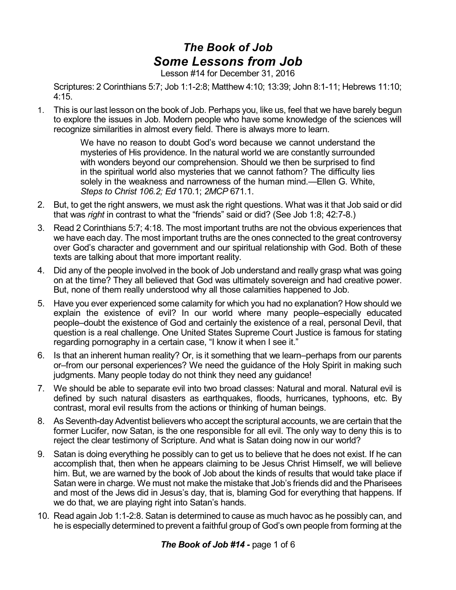# *The Book of Job Some Lessons from Job*

Lesson #14 for December 31, 2016

Scriptures: 2 Corinthians 5:7; Job 1:1-2:8; Matthew 4:10; 13:39; John 8:1-11; Hebrews 11:10; 4:15.

1. This is our last lesson on the book of Job. Perhaps you, like us, feel that we have barely begun to explore the issues in Job. Modern people who have some knowledge of the sciences will recognize similarities in almost every field. There is always more to learn.

> We have no reason to doubt God's word because we cannot understand the mysteries of His providence. In the natural world we are constantly surrounded with wonders beyond our comprehension. Should we then be surprised to find in the spiritual world also mysteries that we cannot fathom? The difficulty lies solely in the weakness and narrowness of the human mind.—Ellen G. White, *Steps to Christ 106.2; Ed* 170.1; *2MCP* 671.1.

- 2. But, to get the right answers, we must ask the right questions. What was it that Job said or did that was *right* in contrast to what the "friends" said or did? (See Job 1:8; 42:7-8.)
- 3. Read 2 Corinthians 5:7; 4:18. The most important truths are not the obvious experiences that we have each day. The most important truths are the ones connected to the great controversy over God's character and government and our spiritual relationship with God. Both of these texts are talking about that more important reality.
- 4. Did any of the people involved in the book of Job understand and really grasp what was going on at the time? They all believed that God was ultimately sovereign and had creative power. But, none of them really understood why all those calamities happened to Job.
- 5. Have you ever experienced some calamity for which you had no explanation? How should we explain the existence of evil? In our world where many people–especially educated people–doubt the existence of God and certainly the existence of a real, personal Devil, that question is a real challenge. One United States Supreme Court Justice is famous for stating regarding pornography in a certain case, "I know it when I see it."
- 6. Is that an inherent human reality? Or, is it something that we learn–perhaps from our parents or–from our personal experiences? We need the guidance of the Holy Spirit in making such judgments. Many people today do not think they need any guidance!
- 7. We should be able to separate evil into two broad classes: Natural and moral. Natural evil is defined by such natural disasters as earthquakes, floods, hurricanes, typhoons, etc. By contrast, moral evil results from the actions or thinking of human beings.
- 8. As Seventh-day Adventist believers who accept the scriptural accounts, we are certain that the former Lucifer, now Satan, is the one responsible for all evil. The only way to deny this is to reject the clear testimony of Scripture. And what is Satan doing now in our world?
- 9. Satan is doing everything he possibly can to get us to believe that he does not exist. If he can accomplish that, then when he appears claiming to be Jesus Christ Himself, we will believe him. But, we are warned by the book of Job about the kinds of results that would take place if Satan were in charge. We must not make the mistake that Job's friends did and the Pharisees and most of the Jews did in Jesus's day, that is, blaming God for everything that happens. If we do that, we are playing right into Satan's hands.
- 10. Read again Job 1:1-2:8. Satan is determined to cause as much havoc as he possibly can, and he is especially determined to prevent a faithful group of God's own people from forming at the

# *The Book of Job #14 -* page 1 of 6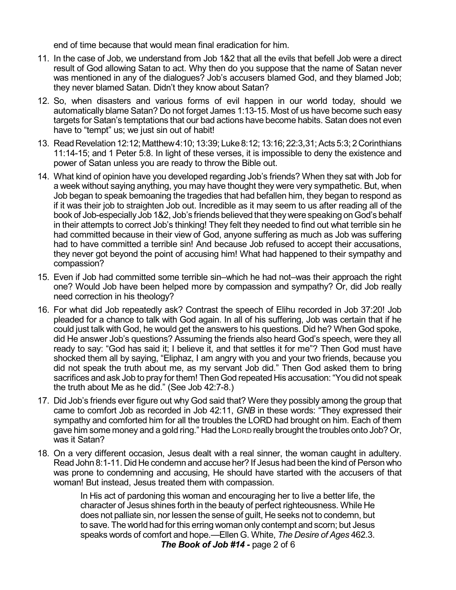end of time because that would mean final eradication for him.

- 11. In the case of Job, we understand from Job 1&2 that all the evils that befell Job were a direct result of God allowing Satan to act. Why then do you suppose that the name of Satan never was mentioned in any of the dialogues? Job's accusers blamed God, and they blamed Job; they never blamed Satan. Didn't they know about Satan?
- 12. So, when disasters and various forms of evil happen in our world today, should we automatically blame Satan? Do not forget James 1:13-15. Most of us have become such easy targets for Satan's temptations that our bad actions have become habits. Satan does not even have to "tempt" us; we just sin out of habit!
- 13. ReadRevelation12:12; Matthew4:10; 13:39; Luke8:12; 13:16; 22:3,31;Acts5:3; 2Corinthians 11:14-15; and 1 Peter 5:8. In light of these verses, it is impossible to deny the existence and power of Satan unless you are ready to throw the Bible out.
- 14. What kind of opinion have you developed regarding Job's friends? When they sat with Job for a week without saying anything, you may have thought they were very sympathetic. But, when Job began to speak bemoaning the tragedies that had befallen him, they began to respond as if it was their job to straighten Job out. Incredible as it may seem to us after reading all of the book of Job-especially Job 1&2, Job's friends believed that they were speaking on God's behalf in their attempts to correct Job's thinking! They felt they needed to find out what terrible sin he had committed because in their view of God, anyone suffering as much as Job was suffering had to have committed a terrible sin! And because Job refused to accept their accusations, they never got beyond the point of accusing him! What had happened to their sympathy and compassion?
- 15. Even if Job had committed some terrible sin–which he had not–was their approach the right one? Would Job have been helped more by compassion and sympathy? Or, did Job really need correction in his theology?
- 16. For what did Job repeatedly ask? Contrast the speech of Elihu recorded in Job 37:20! Job pleaded for a chance to talk with God again. In all of his suffering, Job was certain that if he could just talk with God, he would get the answers to his questions. Did he? When God spoke, did He answer Job's questions? Assuming the friends also heard God's speech, were they all ready to say: "God has said it; I believe it, and that settles it for me"? Then God must have shocked them all by saying, "Eliphaz, I am angry with you and your two friends, because you did not speak the truth about me, as my servant Job did." Then God asked them to bring sacrifices and ask Job to pray for them! Then God repeated His accusation: "You did not speak the truth about Me as he did." (See Job 42:7-8.)
- 17. Did Job's friends ever figure out why God said that? Were they possibly among the group that came to comfort Job as recorded in Job 42:11, *GNB* in these words: "They expressed their sympathy and comforted him for all the troubles the LORD had brought on him. Each of them gave him some money and a gold ring." Had the LORD really brought the troubles onto Job? Or, was it Satan?
- 18. On a very different occasion, Jesus dealt with a real sinner, the woman caught in adultery. Read John 8:1-11. Did He condemn and accuse her? If Jesus had been the kind of Person who was prone to condemning and accusing, He should have started with the accusers of that woman! But instead, Jesus treated them with compassion.

In His act of pardoning this woman and encouraging her to live a better life, the character of Jesus shines forth in the beauty of perfect righteousness. While He does not palliate sin, nor lessen the sense of guilt, He seeks not to condemn, but to save. The world had for this erring woman only contempt and scorn; but Jesus speaks words of comfort and hope.—Ellen G. White, *The Desire of Ages* 462.3. *The Book of Job #14 -* page 2 of 6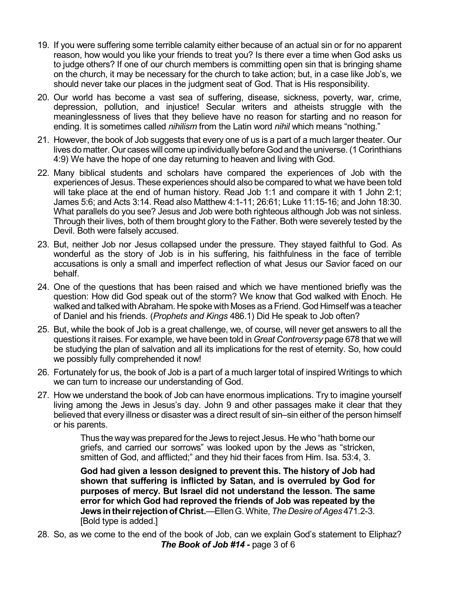- 19. If you were suffering some terrible calamity either because of an actual sin or for no apparent reason, how would you like your friends to treat you? Is there ever a time when God asks us to judge others? If one of our church members is committing open sin that is bringing shame on the church, it may be necessary for the church to take action; but, in a case like Job's, we should never take our places in the judgment seat of God. That is His responsibility.
- 20. Our world has become a vast sea of suffering, disease, sickness, poverty, war, crime, depression, pollution, and injustice! Secular writers and atheists struggle with the meaninglessness of lives that they believe have no reason for starting and no reason for ending. It is sometimes called *nihilism* from the Latin word *nihil* which means "nothing."
- 21. However, the book of Job suggests that every one of us is a part of a much larger theater. Our lives do matter. Our cases will come up individually before God and the universe. (1 Corinthians 4:9) We have the hope of one day returning to heaven and living with God.
- 22. Many biblical students and scholars have compared the experiences of Job with the experiences of Jesus. These experiences should also be compared to what we have been told will take place at the end of human history. Read Job 1:1 and compare it with 1 John 2:1; James 5:6; and Acts 3:14. Read also Matthew 4:1-11; 26:61; Luke 11:15-16; and John 18:30. What parallels do you see? Jesus and Job were both righteous although Job was not sinless. Through their lives, both of them brought glory to the Father. Both were severely tested by the Devil. Both were falsely accused.
- 23. But, neither Job nor Jesus collapsed under the pressure. They stayed faithful to God. As wonderful as the story of Job is in his suffering, his faithfulness in the face of terrible accusations is only a small and imperfect reflection of what Jesus our Savior faced on our behalf.
- 24. One of the questions that has been raised and which we have mentioned briefly was the question: How did God speak out of the storm? We know that God walked with Enoch. He walked and talked with Abraham. He spoke with Moses as a Friend. God Himself was a teacher of Daniel and his friends. (*Prophets and Kings* 486.1) Did He speak to Job often?
- 25. But, while the book of Job is a great challenge, we, of course, will never get answers to all the questions it raises. For example, we have been told in *Great Controversy* page 678 that we will be studying the plan of salvation and all its implications for the rest of eternity. So, how could we possibly fully comprehended it now!
- 26. Fortunately for us, the book of Job is a part of a much larger total of inspired Writings to which we can turn to increase our understanding of God.
- 27. How we understand the book of Job can have enormous implications. Try to imagine yourself living among the Jews in Jesus's day. John 9 and other passages make it clear that they believed that every illness or disaster was a direct result of sin–sin either of the person himself or his parents.

Thus the way was prepared for the Jews to reject Jesus. He who "hath borne our griefs, and carried our sorrows" was looked upon by the Jews as "stricken, smitten of God, and afflicted;" and they hid their faces from Him. Isa. 53:4, 3.

**God had given a lesson designed to prevent this. The history of Job had shown that suffering is inflicted by Satan, and is overruled by God for purposes of mercy. But Israel did not understand the lesson. The same error for which God had reproved the friends of Job was repeated by the Jews intheirrejectionof Christ.**—EllenG.White,*TheDesire ofAges* 471.2-3. [Bold type is added.]

28. So, as we come to the end of the book of Job, can we explain God's statement to Eliphaz? *The Book of Job #14 -* page 3 of 6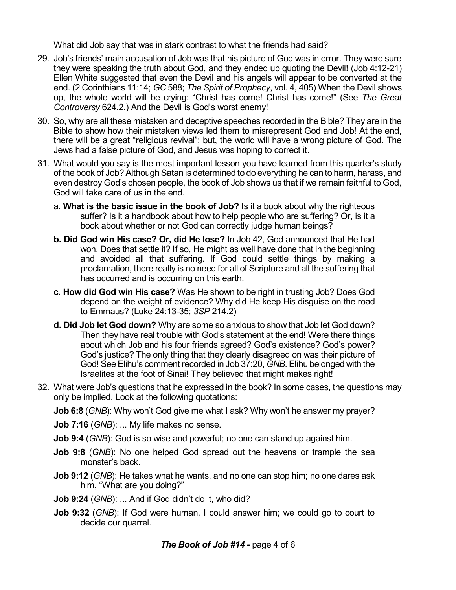What did Job say that was in stark contrast to what the friends had said?

- 29. Job's friends' main accusation of Job was that his picture of God was in error. They were sure they were speaking the truth about God, and they ended up quoting the Devil! (Job 4:12-21) Ellen White suggested that even the Devil and his angels will appear to be converted at the end. (2 Corinthians 11:14; *GC* 588; *The Spirit of Prophecy*, vol. 4, 405) When the Devil shows up, the whole world will be crying: "Christ has come! Christ has come!" (See *The Great Controversy* 624.2.) And the Devil is God's worst enemy!
- 30. So, why are all these mistaken and deceptive speeches recorded in the Bible? They are in the Bible to show how their mistaken views led them to misrepresent God and Job! At the end, there will be a great "religious revival"; but, the world will have a wrong picture of God. The Jews had a false picture of God, and Jesus was hoping to correct it.
- 31. What would you say is the most important lesson you have learned from this quarter's study of the book of Job? Although Satan is determined to do everything he can to harm, harass, and even destroy God's chosen people, the book of Job shows us that if we remain faithful to God, God will take care of us in the end.
	- a. **What is the basic issue in the book of Job?** Is it a book about why the righteous suffer? Is it a handbook about how to help people who are suffering? Or, is it a book about whether or not God can correctly judge human beings?
	- **b. Did God win His case? Or, did He lose?** In Job 42, God announced that He had won. Does that settle it? If so, He might as well have done that in the beginning and avoided all that suffering. If God could settle things by making a proclamation, there really is no need for all of Scripture and all the suffering that has occurred and is occurring on this earth.
	- **c. How did God win His case?** Was He shown to be right in trusting Job? Does God depend on the weight of evidence? Why did He keep His disguise on the road to Emmaus? (Luke 24:13-35; *3SP* 214.2)
	- **d. Did Job let God down?** Why are some so anxious to show that Job let God down? Then they have real trouble with God's statement at the end! Were there things about which Job and his four friends agreed? God's existence? God's power? God's justice? The only thing that they clearly disagreed on was their picture of God! SeeElihu's comment recorded in Job 37:20, *GNB*. Elihu belonged with the Israelites at the foot of Sinai! They believed that might makes right!
- 32. What were Job's questions that he expressed in the book? In some cases, the questions may only be implied. Look at the following quotations:

**Job 6:8** (*GNB*): Why won't God give me what I ask? Why won't he answer my prayer?

**Job 7:16** (*GNB*): ... My life makes no sense.

- **Job 9:4** (*GNB*): God is so wise and powerful; no one can stand up against him.
- **Job 9:8** (*GNB*): No one helped God spread out the heavens or trample the sea monster's back.
- **Job 9:12** (*GNB*): He takes what he wants, and no one can stop him; no one dares ask him, "What are you doing?"
- **Job 9:24** (*GNB*): ... And if God didn't do it, who did?
- **Job 9:32** (*GNB*): If God were human, I could answer him; we could go to court to decide our quarrel.

# *The Book of Job #14 -* page 4 of 6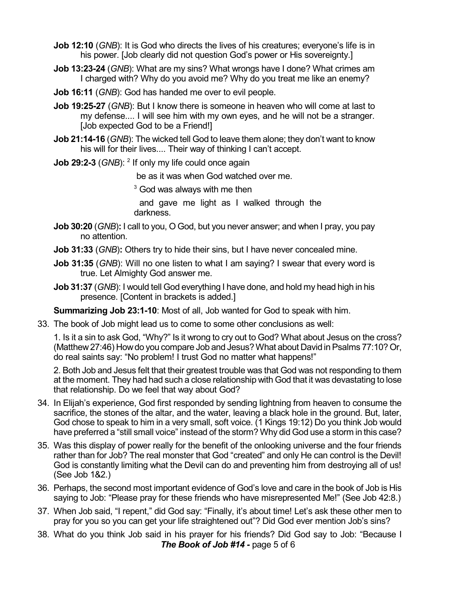- **Job 12:10** (*GNB*): It is God who directs the lives of his creatures; everyone's life is in his power. [Job clearly did not question God's power or His sovereignty.]
- **Job 13:23-24** (*GNB*): What are my sins? What wrongs have I done? What crimes am I charged with? Why do you avoid me? Why do you treat me like an enemy?
- **Job 16:11** (*GNB*): God has handed me over to evil people.
- **Job 19:25-27** (*GNB*): But I know there is someone in heaven who will come at last to my defense.... I will see him with my own eyes, and he will not be a stranger. [Job expected God to be a Friend!]
- **Job 21:14-16** (*GNB*): The wicked tell God to leave them alone; they don't want to know his will for their lives.... Their way of thinking I can't accept.
- **Job 29:2-3** (GNB): <sup>2</sup> If only my life could once again

be as it was when God watched over me.

 $3$  God was always with me then

and gave me light as I walked through the darkness.

- **Job 30:20** (*GNB*)**:** I call to you, O God, but you never answer; and when I pray, you pay no attention.
- **Job 31:33** (*GNB*)**:** Others try to hide their sins, but I have never concealed mine.
- **Job 31:35** (*GNB*): Will no one listen to what I am saying? I swear that every word is true. Let Almighty God answer me.
- **Job 31:37** (*GNB*): I would tell God everything I have done, and hold my head high in his presence. [Content in brackets is added.]

**Summarizing Job 23:1-10**: Most of all, Job wanted for God to speak with him.

33. The book of Job might lead us to come to some other conclusions as well:

1. Is it a sin to ask God, "Why?" Is it wrong to cry out to God? What about Jesus on the cross? (Matthew 27:46) How do you compare Job and Jesus? What about David in Psalms 77:10? Or, do real saints say: "No problem! I trust God no matter what happens!"

2. Both Job and Jesus felt that their greatest trouble was that God was not responding to them at the moment. They had had such a close relationship with God that it was devastating to lose that relationship. Do we feel that way about God?

- 34. In Elijah's experience, God first responded by sending lightning from heaven to consume the sacrifice, the stones of the altar, and the water, leaving a black hole in the ground. But, later, God chose to speak to him in a very small, soft voice. (1 Kings 19:12) Do you think Job would have preferred a "still small voice" instead of the storm? Why did God use a storm in this case?
- 35. Was this display of power really for the benefit of the onlooking universe and the four friends rather than for Job? The real monster that God "created" and only He can control is the Devil! God is constantly limiting what the Devil can do and preventing him from destroying all of us! (See Job 1&2.)
- 36. Perhaps, the second most important evidence of God's love and care in the book of Job is His saying to Job: "Please pray for these friends who have misrepresented Me!" (See Job 42:8.)
- 37. When Job said, "I repent," did God say: "Finally, it's about time! Let's ask these other men to pray for you so you can get your life straightened out"? Did God ever mention Job's sins?
- 38. What do you think Job said in his prayer for his friends? Did God say to Job: "Because I *The Book of Job #14 -* page 5 of 6